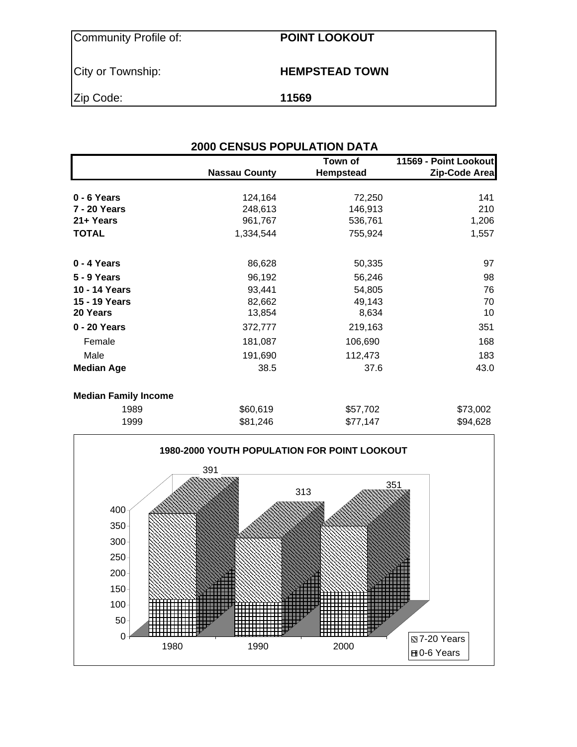| <b>Community Profile of</b> |  |
|-----------------------------|--|
|-----------------------------|--|

**POINT LOOKOUT** 

### City or Township: **HEMPSTEAD TOWN**

Zip Code: **11569**

| <b>2000 CENSUS POPULATION DATA</b> |                      |                             |                                        |  |  |  |  |
|------------------------------------|----------------------|-----------------------------|----------------------------------------|--|--|--|--|
|                                    | <b>Nassau County</b> | Town of<br><b>Hempstead</b> | 11569 - Point Lookout<br>Zip-Code Area |  |  |  |  |
| 0 - 6 Years                        | 124,164              | 72,250                      | 141                                    |  |  |  |  |
| 7 - 20 Years                       | 248,613              | 146,913                     | 210                                    |  |  |  |  |
| 21+ Years                          | 961,767              | 536,761                     | 1,206                                  |  |  |  |  |
| <b>TOTAL</b>                       | 1,334,544            | 755,924                     | 1,557                                  |  |  |  |  |
| 0 - 4 Years                        | 86,628               | 50,335                      | 97                                     |  |  |  |  |
| 5 - 9 Years                        | 96,192               | 56,246                      | 98                                     |  |  |  |  |
| 10 - 14 Years                      | 93,441               | 54,805                      | 76                                     |  |  |  |  |
| 15 - 19 Years                      | 82,662               | 49,143                      | 70                                     |  |  |  |  |
| 20 Years                           | 13,854               | 8,634                       | 10                                     |  |  |  |  |
| 0 - 20 Years                       | 372,777              | 219,163                     | 351                                    |  |  |  |  |
| Female                             | 181,087              | 106,690                     | 168                                    |  |  |  |  |
| Male                               | 191,690              | 112,473                     | 183                                    |  |  |  |  |
| <b>Median Age</b>                  | 38.5                 | 37.6                        | 43.0                                   |  |  |  |  |
| <b>Median Family Income</b>        |                      |                             |                                        |  |  |  |  |
| 1989                               | \$60,619             | \$57,702                    | \$73,002                               |  |  |  |  |
| 1999                               | \$81,246             | \$77,147                    | \$94,628                               |  |  |  |  |

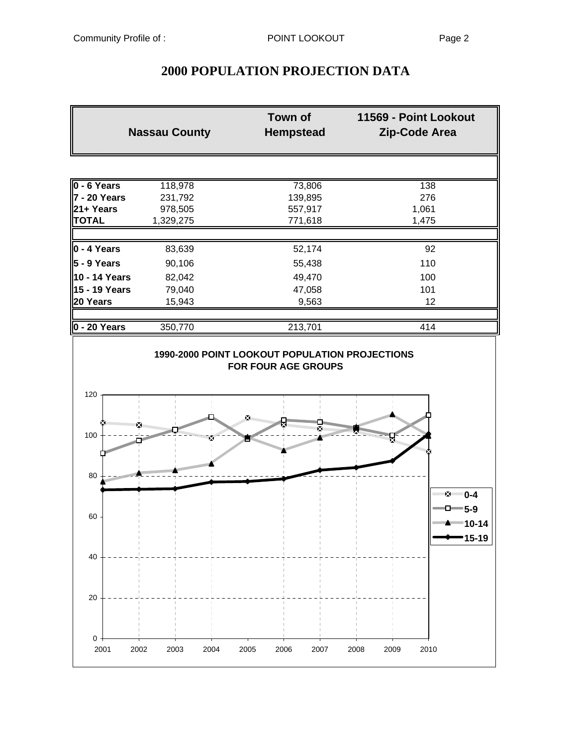# **2000 POPULATION PROJECTION DATA**

| <b>Nassau County</b>       |              | <b>Town of</b><br><b>Hempstead</b>     | 11569 - Point Lookout<br>Zip-Code Area                  |
|----------------------------|--------------|----------------------------------------|---------------------------------------------------------|
|                            |              |                                        |                                                         |
| 0 - 6 Years                | 118,978      | 73,806                                 | 138                                                     |
| 7 - 20 Years               | 231,792      | 139,895                                | 276                                                     |
| 21+ Years                  | 978,505      | 557,917                                | 1,061                                                   |
| <b>TOTAL</b>               | 1,329,275    | 771,618                                | 1,475                                                   |
| $\vert$ 0 - 4 Years        | 83,639       | 52,174                                 | 92                                                      |
| $5 - 9$ Years              | 90,106       | 55,438                                 | 110                                                     |
| 10 - 14 Years              | 82,042       | 49,470                                 | 100                                                     |
| 15 - 19 Years              | 79,040       | 47,058                                 | 101                                                     |
| 20 Years                   | 15,943       | 9,563                                  | 12                                                      |
| $0 - 20$ Years             | 350,770      | 213,701                                | 414                                                     |
| x<br>×<br>100              | ×            | ×<br><b>STANDARD AND REAL PROPERTY</b> |                                                         |
| 80<br>$\sim$ $\sim$ $\sim$ |              | <b>REGISTER</b>                        |                                                         |
| 60                         |              |                                        | ™ 0-4<br>$\Box$ 5-9<br>""" <del>"</del> "10-14<br>15-19 |
| 40                         |              |                                        |                                                         |
| 20                         |              |                                        |                                                         |
| 0<br>2001<br>2002          | 2003<br>2004 | 2005<br>2006<br>2007                   | 2008<br>2009<br>2010                                    |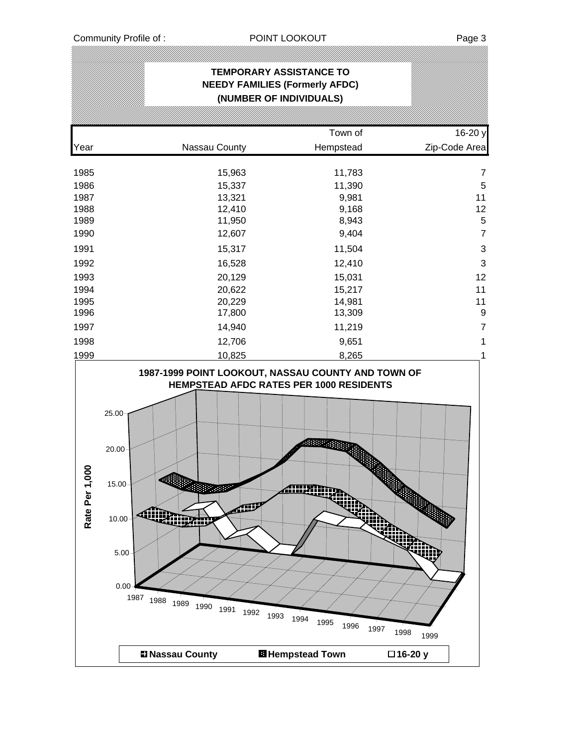|                                 |                                                                                                                                 | <b>TEMPORARY ASSISTANCE TO</b><br><b>NEEDY FAMILIES (Formerly AFDC)</b><br>(NUMBER OF INDIVIDUALS)                                                              |                                                                                     |
|---------------------------------|---------------------------------------------------------------------------------------------------------------------------------|-----------------------------------------------------------------------------------------------------------------------------------------------------------------|-------------------------------------------------------------------------------------|
|                                 |                                                                                                                                 |                                                                                                                                                                 |                                                                                     |
|                                 |                                                                                                                                 | Town of                                                                                                                                                         | 16-20 y                                                                             |
| Year                            | Nassau County                                                                                                                   | Hempstead                                                                                                                                                       | Zip-Code Area                                                                       |
| 1985                            |                                                                                                                                 | 15,963<br>11,783                                                                                                                                                | 7                                                                                   |
| 1986                            |                                                                                                                                 | 15,337<br>11,390                                                                                                                                                | 5                                                                                   |
| 1987                            |                                                                                                                                 | 13,321                                                                                                                                                          | 11<br>9,981                                                                         |
| 1988                            |                                                                                                                                 | 12,410                                                                                                                                                          | 12<br>9,168                                                                         |
| 1989                            |                                                                                                                                 | 11,950                                                                                                                                                          | 5<br>8,943                                                                          |
| 1990                            |                                                                                                                                 | 12,607                                                                                                                                                          | $\overline{7}$<br>9,404                                                             |
| 1991                            |                                                                                                                                 | 15,317<br>11,504                                                                                                                                                | 3                                                                                   |
| 1992                            |                                                                                                                                 | 16,528<br>12,410                                                                                                                                                | $\overline{3}$                                                                      |
| 1993                            |                                                                                                                                 | 20,129<br>15,031                                                                                                                                                | 12                                                                                  |
| 1994                            |                                                                                                                                 | 20,622<br>15,217                                                                                                                                                | 11                                                                                  |
| 1995                            |                                                                                                                                 | 20,229<br>14,981                                                                                                                                                | $11$                                                                                |
| 1996                            |                                                                                                                                 | 17,800<br>13,309                                                                                                                                                | 9                                                                                   |
| 1997                            |                                                                                                                                 | 14,940<br>11,219                                                                                                                                                | $\overline{7}$                                                                      |
| 1998                            |                                                                                                                                 | 12,706                                                                                                                                                          | $\mathbf 1$<br>9,651                                                                |
| 1999                            |                                                                                                                                 | 10,825                                                                                                                                                          | 1<br>8,265                                                                          |
| 000<br>Pēr<br>Rate <sup>1</sup> | 25.00<br>20.00<br>15.00<br>8897.889<br>7în<br><b>Willinghi</b><br>10.00<br>5.00<br>0.00<br>1987<br>1988<br>1989<br>1990<br>1991 | 1987-1999 POINT LOOKOUT, NASSAU COUNTY AND TOWN OF<br>HEMPSTEAD AFDC RATES PER 1000 RESIDENTS<br>a an<br><b>ANUXUJIIDA</b><br>∰<br>1992<br>1993<br>1994<br>1995 | Will<br><b>INSTANTA</b><br><b>SERVERED SERVERED</b><br>1996<br>1997<br>1998<br>1999 |
|                                 | <b>El Nassau County</b>                                                                                                         | <b>El</b> Hempstead Town                                                                                                                                        | □16-20 y                                                                            |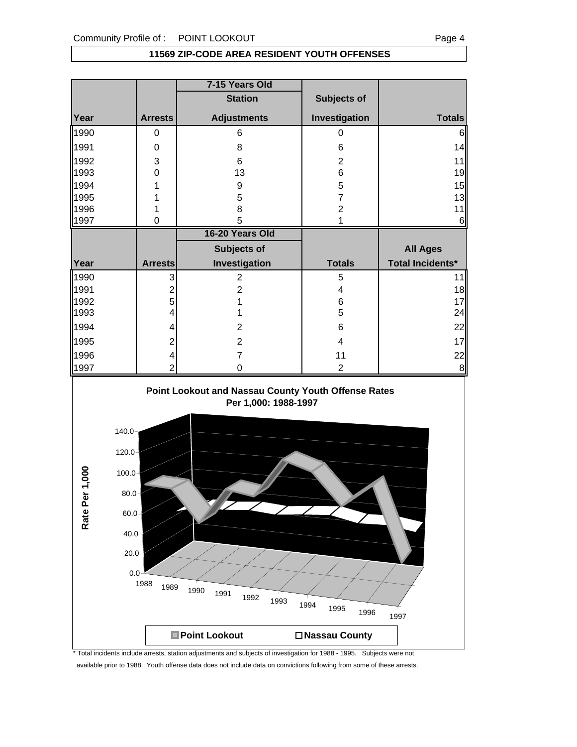#### **11569 ZIP-CODE AREA RESIDENT YOUTH OFFENSES**

|      |                | 7-15 Years Old     |                |                         |
|------|----------------|--------------------|----------------|-------------------------|
|      |                | <b>Station</b>     | Subjects of    |                         |
| Year | <b>Arrests</b> | <b>Adjustments</b> | Investigation  | <b>Totals</b>           |
| 1990 | 0              | 6                  | 0              | 6                       |
| 1991 | 0              | 8                  | 6              | 14                      |
| 1992 | 3              | 6                  | 2              | 11                      |
| 1993 | 0              | 13                 | 6              | 19                      |
| 1994 |                | 9                  | 5              | 15                      |
| 1995 |                | 5                  | 7              | 13                      |
| 1996 | 1              | 8                  | $\overline{2}$ | 11                      |
| 1997 | 0              | 5                  |                | 6                       |
|      |                |                    |                |                         |
|      |                | 16-20 Years Old    |                |                         |
|      |                | Subjects of        |                | <b>All Ages</b>         |
| Year | <b>Arrests</b> | Investigation      | <b>Totals</b>  | <b>Total Incidents*</b> |
| 1990 | 3              | 2                  | 5              | 11                      |
| 1991 | 2              | 2                  | 4              | 18                      |
| 1992 | 5              |                    | 6              | 17                      |
| 1993 | 4              |                    | 5              | 24                      |
| 1994 | 4              | 2                  | 6              | 22                      |
| 1995 | 2              | $\overline{2}$     | 4              | 17                      |
| 1996 | 4              | 7                  | 11             | 22                      |

#### **Point Lookout and Nassau County Youth Offense Rates Per 1,000: 1988-1997**



\* Total incidents include arrests, station adjustments and subjects of investigation for 1988 - 1995. Subjects were not

available prior to 1988. Youth offense data does not include data on convictions following from some of these arrests.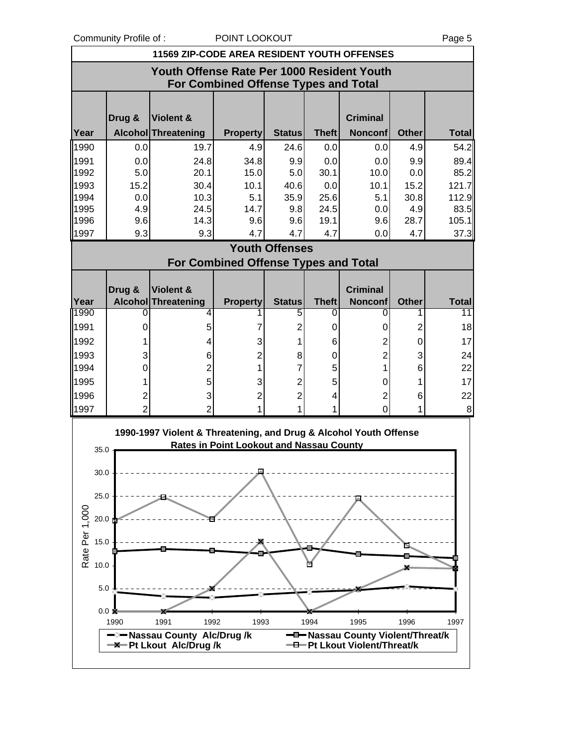Community Profile of : POINT LOOKOUT **PAGE 10** Page 5

|                                    |                                                                                           | 11569 ZIP-CODE AREA RESIDENT YOUTH OFFENSES                               |                                                 |                       |              |                                                                   |              |              |  |  |
|------------------------------------|-------------------------------------------------------------------------------------------|---------------------------------------------------------------------------|-------------------------------------------------|-----------------------|--------------|-------------------------------------------------------------------|--------------|--------------|--|--|
|                                    | Youth Offense Rate Per 1000 Resident Youth<br><b>For Combined Offense Types and Total</b> |                                                                           |                                                 |                       |              |                                                                   |              |              |  |  |
|                                    | Drug &                                                                                    | <b>Violent &amp;</b>                                                      |                                                 |                       |              | <b>Criminal</b>                                                   |              |              |  |  |
| Year                               |                                                                                           | Alcohol Threatening                                                       | <b>Property</b>                                 | <b>Status</b>         | <b>Theft</b> | <b>Nonconf</b>                                                    | <b>Other</b> | <b>Total</b> |  |  |
| 1990                               | 0.0                                                                                       | 19.7                                                                      | 4.9                                             | 24.6                  | 0.0          | 0.0                                                               | 4.9          | 54.2         |  |  |
| 1991                               | 0.0                                                                                       | 24.8                                                                      | 34.8                                            | 9.9                   | 0.0          | 0.0                                                               | 9.9          | 89.4         |  |  |
| 1992                               | 5.0                                                                                       | 20.1                                                                      | 15.0                                            | 5.0                   | 30.1         | 10.0                                                              | 0.0          | 85.2         |  |  |
| 1993                               | 15.2                                                                                      | 30.4                                                                      | 10.1                                            | 40.6                  | 0.0          | 10.1                                                              | 15.2         | 121.7        |  |  |
| 1994                               | 0.0                                                                                       | 10.3                                                                      | 5.1                                             | 35.9                  | 25.6         | 5.1                                                               | 30.8         | 112.9        |  |  |
| 1995                               | 4.9                                                                                       | 24.5                                                                      | 14.7                                            | 9.8                   | 24.5         | 0.0                                                               | 4.9          | 83.5         |  |  |
| 1996                               | 9.6                                                                                       | 14.3                                                                      | 9.6                                             | 9.6                   | 19.1         | 9.6                                                               | 28.7         | 105.1        |  |  |
| 1997                               | 9.3                                                                                       | 9.3                                                                       | 4.7                                             | 4.7                   | 4.7          | 0.0                                                               | 4.7          | 37.3         |  |  |
|                                    |                                                                                           |                                                                           |                                                 | <b>Youth Offenses</b> |              |                                                                   |              |              |  |  |
|                                    |                                                                                           |                                                                           | <b>For Combined Offense Types and Total</b>     |                       |              |                                                                   |              |              |  |  |
|                                    |                                                                                           |                                                                           |                                                 |                       |              | <b>Criminal</b>                                                   |              |              |  |  |
| Year                               | Drug &                                                                                    | <b>Violent &amp;</b><br><b>Alcohol Threatening</b>                        | <b>Property</b>                                 | <b>Status</b>         | <b>Theft</b> | <b>Nonconf</b>                                                    | <b>Other</b> | <b>Total</b> |  |  |
| 1990                               |                                                                                           | 4                                                                         | 1                                               | 5                     | 0            | Ω                                                                 |              | 11           |  |  |
| 1991                               | 0                                                                                         | 5                                                                         | 7                                               | $\overline{c}$        | 0            | 0                                                                 | 2            | 18           |  |  |
| 1992                               |                                                                                           | 4                                                                         | 3                                               | 1                     | 6            | 2                                                                 | 0            | 17           |  |  |
| 1993                               | 3                                                                                         | 6                                                                         | 2                                               | 8                     | 0            | $\overline{2}$                                                    | 3            | 24           |  |  |
| 1994                               | 0                                                                                         | 2                                                                         | 1                                               | 7                     | 5            | 1                                                                 | 6            | 22           |  |  |
| 1995                               |                                                                                           | 5                                                                         | 3                                               | $\overline{2}$        | 5            |                                                                   |              | 17           |  |  |
|                                    |                                                                                           |                                                                           |                                                 |                       |              | 0                                                                 |              |              |  |  |
| 1996                               | 2                                                                                         | 3                                                                         | $\overline{c}$                                  | $\overline{c}$        | 4            | 2                                                                 | 6            | 22           |  |  |
| 1997                               | $\overline{2}$                                                                            | $\overline{2}$                                                            | 1                                               | 1                     | 1            | $\overline{0}$                                                    | 1            | 8            |  |  |
|                                    |                                                                                           | 1990-1997 Violent & Threatening, and Drug & Alcohol Youth Offense         | <b>Rates in Point Lookout and Nassau County</b> |                       |              |                                                                   |              |              |  |  |
| 35.0                               |                                                                                           |                                                                           |                                                 |                       |              |                                                                   |              |              |  |  |
| 30.0                               |                                                                                           |                                                                           |                                                 |                       |              |                                                                   |              |              |  |  |
| 25.0                               |                                                                                           |                                                                           |                                                 |                       |              |                                                                   |              |              |  |  |
|                                    |                                                                                           |                                                                           |                                                 |                       |              |                                                                   |              |              |  |  |
| Pate Per 15.0<br>Rate 15.0<br>10.0 |                                                                                           |                                                                           |                                                 |                       |              |                                                                   |              |              |  |  |
|                                    |                                                                                           |                                                                           |                                                 |                       |              |                                                                   |              |              |  |  |
|                                    |                                                                                           |                                                                           |                                                 |                       |              |                                                                   |              |              |  |  |
|                                    |                                                                                           |                                                                           |                                                 |                       |              |                                                                   |              |              |  |  |
| 5.0                                |                                                                                           |                                                                           |                                                 |                       |              |                                                                   |              |              |  |  |
|                                    |                                                                                           |                                                                           |                                                 |                       |              |                                                                   |              |              |  |  |
|                                    | 0.0<br>1990                                                                               | 1991<br>1992                                                              | 1993                                            |                       | 1994         | 1995                                                              | 1996         | 1997         |  |  |
|                                    |                                                                                           | - <sup>2</sup> -Nassau County Alc/Drug/k<br><b>-X-Pt Lkout Alc/Drug/k</b> |                                                 |                       |              | -D-Nassau County Violent/Threat/k<br>-D-Pt Lkout Violent/Threat/k |              |              |  |  |
|                                    |                                                                                           |                                                                           |                                                 |                       |              |                                                                   |              |              |  |  |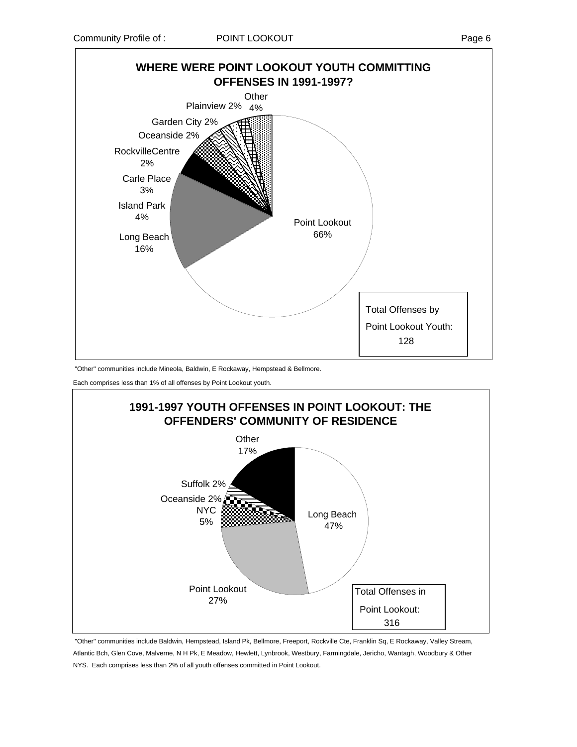

"Other" communities include Mineola, Baldwin, E Rockaway, Hempstead & Bellmore.

Each comprises less than 1% of all offenses by Point Lookout youth.



 "Other" communities include Baldwin, Hempstead, Island Pk, Bellmore, Freeport, Rockville Cte, Franklin Sq, E Rockaway, Valley Stream, Atlantic Bch, Glen Cove, Malverne, N H Pk, E Meadow, Hewlett, Lynbrook, Westbury, Farmingdale, Jericho, Wantagh, Woodbury & Other NYS. Each comprises less than 2% of all youth offenses committed in Point Lookout.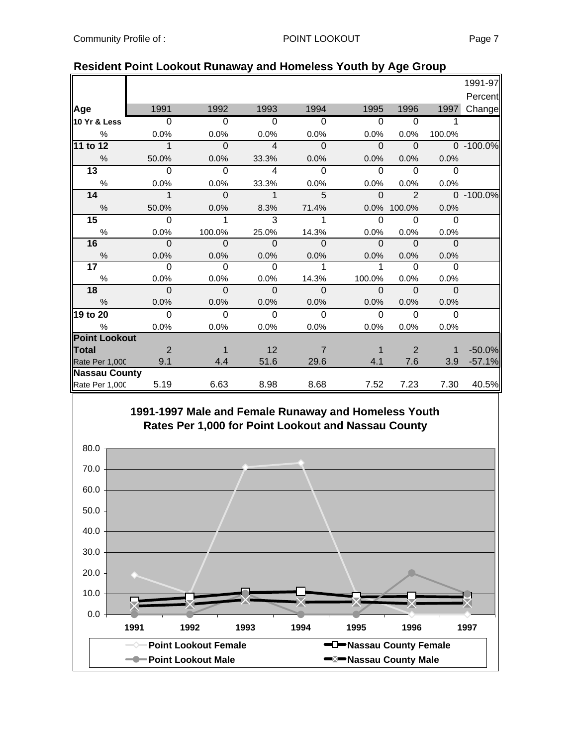|                      |                |                |                |                |             |                |                | 1991-97       |
|----------------------|----------------|----------------|----------------|----------------|-------------|----------------|----------------|---------------|
|                      |                |                |                |                |             |                |                | Percent       |
| Age                  | 1991           | 1992           | 1993           | 1994           | 1995        | 1996           | 1997           | Change        |
| 10 Yr & Less         | $\overline{0}$ | $\Omega$       | $\Omega$       | $\Omega$       | 0           | 0              |                |               |
| %                    | 0.0%           | 0.0%           | 0.0%           | 0.0%           | 0.0%        | 0.0%           | 100.0%         |               |
| 11 to 12             | $\mathbf 1$    | $\Omega$       | $\overline{4}$ | $\Omega$       | $\Omega$    | $\mathbf{0}$   |                | 0 -100.0%     |
| $\%$                 | 50.0%          | 0.0%           | 33.3%          | 0.0%           | 0.0%        | 0.0%           | 0.0%           |               |
| $\overline{13}$      | $\Omega$       | $\overline{0}$ | 4              | $\mathbf 0$    | $\Omega$    | $\Omega$       | $\mathbf 0$    |               |
| $\%$                 | 0.0%           | 0.0%           | 33.3%          | 0.0%           | 0.0%        | 0.0%           | 0.0%           |               |
| 14                   | $\mathbf 1$    | $\mathbf 0$    | $\mathbf{1}$   | 5              | $\mathbf 0$ | $\overline{2}$ |                | $0 - 100.0\%$ |
| $\%$                 | 50.0%          | 0.0%           | 8.3%           | 71.4%          |             | 0.0% 100.0%    | 0.0%           |               |
| 15                   | $\Omega$       | 1              | 3              | 1              | $\Omega$    | $\Omega$       | $\Omega$       |               |
| $\%$                 | 0.0%           | 100.0%         | 25.0%          | 14.3%          | 0.0%        | 0.0%           | 0.0%           |               |
| 16                   | $\Omega$       | $\Omega$       | $\Omega$       | $\mathbf{0}$   | $\Omega$    | $\mathbf 0$    | $\Omega$       |               |
| $\%$                 | 0.0%           | 0.0%           | 0.0%           | 0.0%           | 0.0%        | 0.0%           | 0.0%           |               |
| 17                   | $\Omega$       | $\Omega$       | $\Omega$       | 1              | 1           | $\Omega$       | $\Omega$       |               |
| $\%$                 | 0.0%           | 0.0%           | 0.0%           | 14.3%          | 100.0%      | 0.0%           | 0.0%           |               |
| 18                   | $\Omega$       | $\Omega$       | $\Omega$       | $\Omega$       | $\Omega$    | $\mathbf{0}$   | $\Omega$       |               |
| $\%$                 | 0.0%           | 0.0%           | 0.0%           | 0.0%           | 0.0%        | 0.0%           | 0.0%           |               |
| 19 to 20             | $\Omega$       | $\overline{0}$ | $\Omega$       | $\overline{0}$ | $\Omega$    | $\overline{0}$ | $\overline{0}$ |               |
| %                    | 0.0%           | 0.0%           | 0.0%           | 0.0%           | 0.0%        | 0.0%           | 0.0%           |               |
| <b>Point Lookout</b> |                |                |                |                |             |                |                |               |
| <b>Total</b>         | $\overline{2}$ | 1              | 12             | 7              |             | 2              | 1              | $-50.0%$      |
| Rate Per 1,000       | 9.1            | 4.4            | 51.6           | 29.6           | 4.1         | 7.6            | 3.9            | $-57.1%$      |
| <b>Nassau County</b> |                |                |                |                |             |                |                |               |
| Rate Per 1,000       | 5.19           | 6.63           | 8.98           | 8.68           | 7.52        | 7.23           | 7.30           | 40.5%         |

#### **Resident Point Lookout Runaway and Homeless Youth by Age Group**

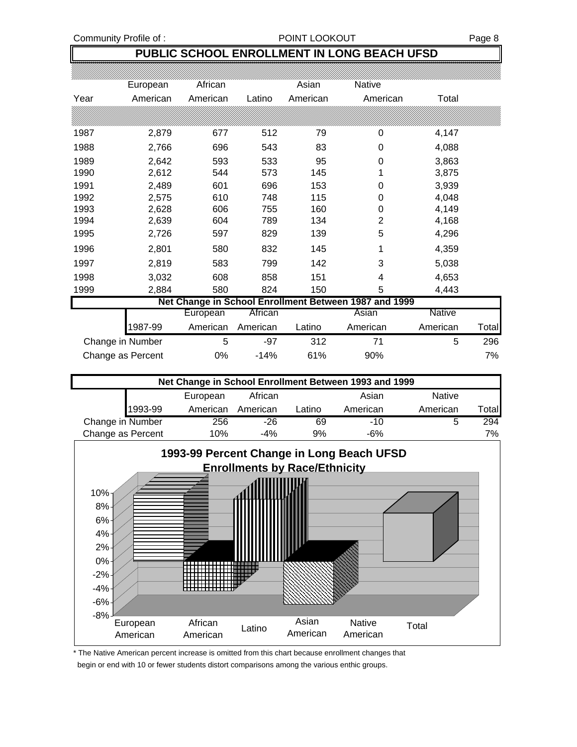#### **PUBLIC SCHOOL ENROLLMENT IN LONG BEACH UFSD**

|      | European          | African  |          | Asian    | <b>Native</b>                                         |          |       |
|------|-------------------|----------|----------|----------|-------------------------------------------------------|----------|-------|
| Year | American          | American | Latino   | American | American                                              | Total    |       |
|      |                   |          |          |          |                                                       |          |       |
| 1987 | 2,879             | 677      | 512      | 79       | 0                                                     | 4,147    |       |
| 1988 | 2,766             | 696      | 543      | 83       | 0                                                     | 4,088    |       |
| 1989 | 2,642             | 593      | 533      | 95       | 0                                                     | 3,863    |       |
| 1990 | 2,612             | 544      | 573      | 145      |                                                       | 3,875    |       |
| 1991 | 2,489             | 601      | 696      | 153      | 0                                                     | 3,939    |       |
| 1992 | 2,575             | 610      | 748      | 115      | 0                                                     | 4,048    |       |
| 1993 | 2,628             | 606      | 755      | 160      | 0                                                     | 4,149    |       |
| 1994 | 2,639             | 604      | 789      | 134      | $\overline{2}$                                        | 4,168    |       |
| 1995 | 2,726             | 597      | 829      | 139      | 5                                                     | 4,296    |       |
| 1996 | 2,801             | 580      | 832      | 145      | 1                                                     | 4,359    |       |
| 1997 | 2,819             | 583      | 799      | 142      | 3                                                     | 5,038    |       |
| 1998 | 3,032             | 608      | 858      | 151      | 4                                                     | 4,653    |       |
| 1999 | 2,884             | 580      | 824      | 150      | 5                                                     | 4,443    |       |
|      |                   |          |          |          | Net Change in School Enrollment Between 1987 and 1999 |          |       |
|      |                   | European | African  |          | Asian                                                 | Native   |       |
|      | 1987-99           | American | American | Latino   | American                                              | American | Total |
|      | Change in Number  | 5        | $-97$    | 312      | 71                                                    | 5        | 296   |
|      | Change as Percent | 0%       | $-14%$   | 61%      | 90%                                                   |          | 7%    |

| Net Change in School Enrollment Between 1993 and 1999 |         |          |          |        |          |               |       |  |
|-------------------------------------------------------|---------|----------|----------|--------|----------|---------------|-------|--|
|                                                       |         | European | African  |        | Asian    | <b>Native</b> |       |  |
|                                                       | 1993-99 | American | American | Latino | American | American      | Total |  |
| Change in Number                                      |         | 256      | $-26$    | 69     | $-10$    |               | 294   |  |
| Change as Percent                                     |         | 10%      | $-4%$    | 9%     | $-6%$    |               | 7%    |  |



<sup>\*</sup> The Native American percent increase is omitted from this chart because enrollment changes that begin or end with 10 or fewer students distort comparisons among the various enthic groups.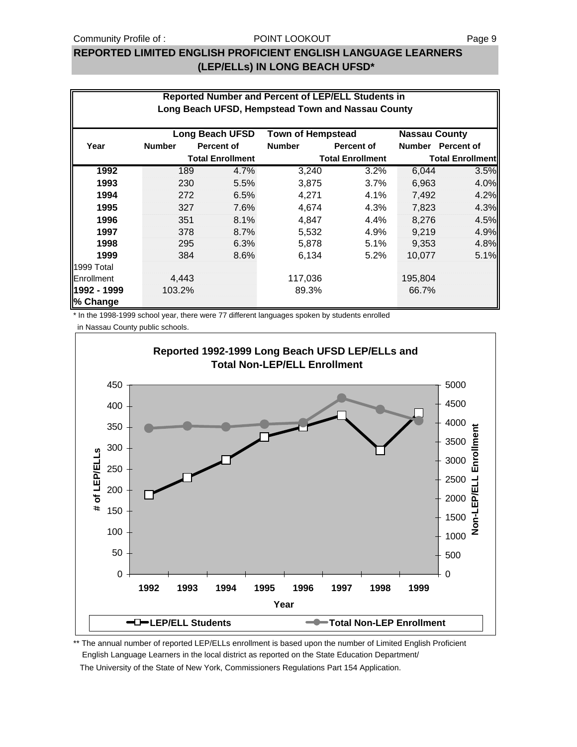#### POINT LOOKOUT

#### **REPORTED LIMITED ENGLISH PROFICIENT ENGLISH LANGUAGE LEARNERS (LEP/ELLs) IN LONG BEACH UFSD\***

| Reported Number and Percent of LEP/ELL Students in<br>Long Beach UFSD, Hempstead Town and Nassau County |                                                                     |                         |               |                         |         |                         |  |  |  |  |
|---------------------------------------------------------------------------------------------------------|---------------------------------------------------------------------|-------------------------|---------------|-------------------------|---------|-------------------------|--|--|--|--|
|                                                                                                         | Long Beach UFSD<br><b>Nassau County</b><br><b>Town of Hempstead</b> |                         |               |                         |         |                         |  |  |  |  |
| Year                                                                                                    | <b>Number</b>                                                       | <b>Percent of</b>       | <b>Number</b> | Percent of              |         | Number Percent of       |  |  |  |  |
|                                                                                                         |                                                                     | <b>Total Enrollment</b> |               | <b>Total Enrollment</b> |         | <b>Total Enrollment</b> |  |  |  |  |
| 1992                                                                                                    | 189                                                                 | 4.7%                    | 3,240         | 3.2%                    | 6,044   | 3.5%                    |  |  |  |  |
| 1993                                                                                                    | 230                                                                 | 5.5%                    | 3,875         | 3.7%                    | 6,963   | 4.0%                    |  |  |  |  |
| 1994                                                                                                    | 272                                                                 | 6.5%                    | 4,271         | 4.1%                    | 7,492   | 4.2%                    |  |  |  |  |
| 1995                                                                                                    | 327                                                                 | 7.6%                    | 4,674         | 4.3%                    | 7,823   | 4.3%                    |  |  |  |  |
| 1996                                                                                                    | 351                                                                 | 8.1%                    | 4,847         | 4.4%                    | 8.276   | 4.5%                    |  |  |  |  |
| 1997                                                                                                    | 378                                                                 | 8.7%                    | 5,532         | 4.9%                    | 9,219   | 4.9%                    |  |  |  |  |
| 1998                                                                                                    | 295                                                                 | 6.3%                    | 5,878         | 5.1%                    | 9,353   | 4.8%                    |  |  |  |  |
| 1999                                                                                                    | 384                                                                 | 8.6%                    | 6,134         | $5.2\%$                 | 10,077  | 5.1%                    |  |  |  |  |
| 1999 Total                                                                                              |                                                                     |                         |               |                         |         |                         |  |  |  |  |
| Enrollment                                                                                              | 4.443                                                               |                         | 117,036       |                         | 195,804 |                         |  |  |  |  |
| 1992 - 1999                                                                                             | 103.2%                                                              |                         | 89.3%         |                         | 66.7%   |                         |  |  |  |  |
| % Change                                                                                                |                                                                     |                         |               |                         |         |                         |  |  |  |  |

\* In the 1998-1999 school year, there were 77 different languages spoken by students enrolled

in Nassau County public schools.



\*\* The annual number of reported LEP/ELLs enrollment is based upon the number of Limited English Proficient English Language Learners in the local district as reported on the State Education Department/ The University of the State of New York, Commissioners Regulations Part 154 Application.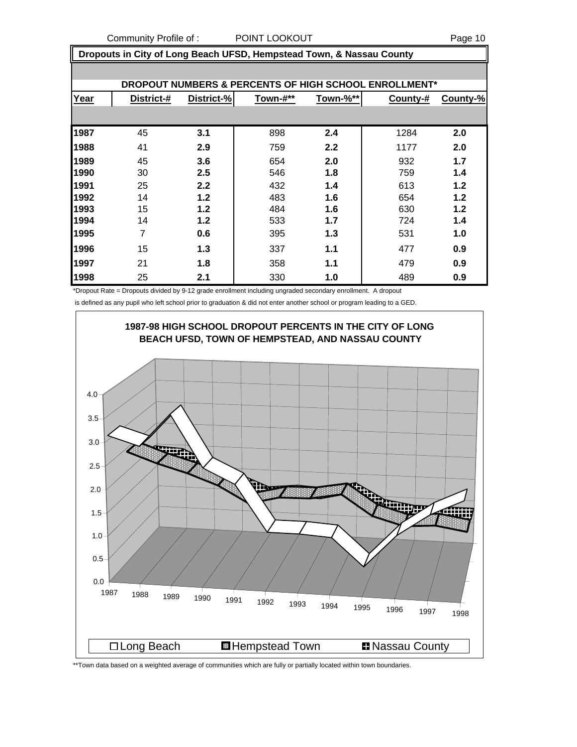Community Profile of : POINT LOOKOUT **Page 10** 

 **Dropouts in City of Long Beach UFSD, Hempstead Town, & Nassau County**

|      | DROPOUT NUMBERS & PERCENTS OF HIGH SCHOOL ENROLLMENT* |            |          |          |          |          |  |  |  |  |
|------|-------------------------------------------------------|------------|----------|----------|----------|----------|--|--|--|--|
| Year | District-#                                            | District-% | Town-#** | Town-%** | County-# | County-% |  |  |  |  |
|      |                                                       |            |          |          |          |          |  |  |  |  |
| 1987 | 45                                                    | 3.1        | 898      | 2.4      | 1284     | 2.0      |  |  |  |  |
| 1988 | 41                                                    | 2.9        | 759      | 2.2      | 1177     | 2.0      |  |  |  |  |
| 1989 | 45                                                    | 3.6        | 654      | 2.0      | 932      | 1.7      |  |  |  |  |
| 1990 | 30                                                    | 2.5        | 546      | 1.8      | 759      | 1.4      |  |  |  |  |
| 1991 | 25                                                    | 2.2        | 432      | 1.4      | 613      | 1.2      |  |  |  |  |
| 1992 | 14                                                    | 1.2        | 483      | 1.6      | 654      | 1.2      |  |  |  |  |
| 1993 | 15                                                    | 1.2        | 484      | 1.6      | 630      | 1.2      |  |  |  |  |
| 1994 | 14                                                    | 1.2        | 533      | 1.7      | 724      | 1.4      |  |  |  |  |
| 1995 | 7                                                     | 0.6        | 395      | 1.3      | 531      | 1.0      |  |  |  |  |
| 1996 | 15                                                    | 1.3        | 337      | 1.1      | 477      | 0.9      |  |  |  |  |
| 1997 | 21                                                    | 1.8        | 358      | 1.1      | 479      | 0.9      |  |  |  |  |
| 1998 | 25                                                    | 2.1        | 330      | 1.0      | 489      | 0.9      |  |  |  |  |

\*Dropout Rate = Dropouts divided by 9-12 grade enrollment including ungraded secondary enrollment. A dropout

is defined as any pupil who left school prior to graduation & did not enter another school or program leading to a GED.



\*\*Town data based on a weighted average of communities which are fully or partially located within town boundaries.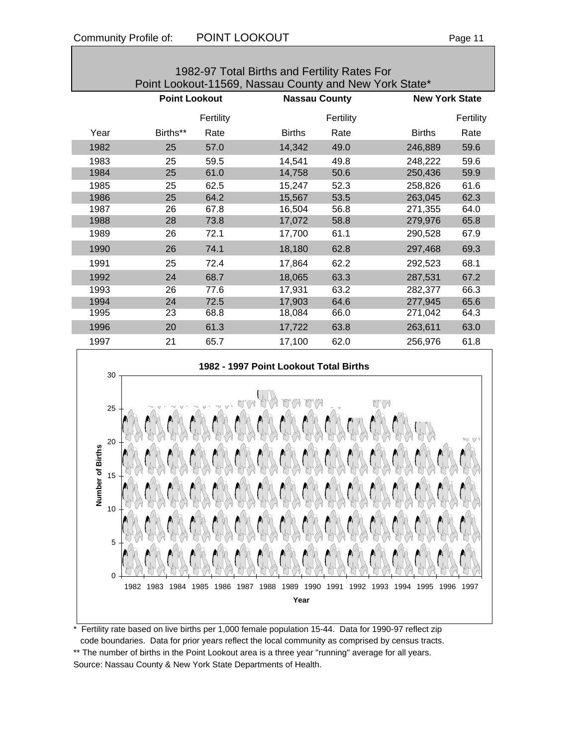| 1982-97 Total Births and Fertility Rates For |                                                        |           |                      |           |                       |           |  |  |
|----------------------------------------------|--------------------------------------------------------|-----------|----------------------|-----------|-----------------------|-----------|--|--|
|                                              | Point Lookout-11569, Nassau County and New York State* |           |                      |           |                       |           |  |  |
|                                              | <b>Point Lookout</b>                                   |           | <b>Nassau County</b> |           | <b>New York State</b> |           |  |  |
|                                              |                                                        | Fertility |                      | Fertility |                       | Fertility |  |  |
| Year                                         | Births**                                               | Rate      | <b>Births</b>        | Rate      | <b>Births</b>         | Rate      |  |  |
| 1982                                         | 25                                                     | 57.0      | 14,342               | 49.0      | 246,889               | 59.6      |  |  |
| 1983                                         | 25                                                     | 59.5      | 14,541               | 49.8      | 248,222               | 59.6      |  |  |
| 1984                                         | 25                                                     | 61.0      | 14,758               | 50.6      | 250,436               | 59.9      |  |  |
| 1985                                         | 25                                                     | 62.5      | 15,247               | 52.3      | 258,826               | 61.6      |  |  |
| 1986                                         | 25                                                     | 64.2      | 15,567               | 53.5      | 263,045               | 62.3      |  |  |
| 1987                                         | 26                                                     | 67.8      | 16,504               | 56.8      | 271,355               | 64.0      |  |  |
| 1988                                         | 28                                                     | 73.8      | 17,072               | 58.8      | 279,976               | 65.8      |  |  |
| 1989                                         | 26                                                     | 72.1      | 17,700               | 61.1      | 290,528               | 67.9      |  |  |
| 1990                                         | 26                                                     | 74.1      | 18,180               | 62.8      | 297,468               | 69.3      |  |  |
| 1991                                         | 25                                                     | 72.4      | 17,864               | 62.2      | 292,523               | 68.1      |  |  |
| 1992                                         | 24                                                     | 68.7      | 18,065               | 63.3      | 287,531               | 67.2      |  |  |
| 1993                                         | 26                                                     | 77.6      | 17,931               | 63.2      | 282,377               | 66.3      |  |  |
| 1994                                         | 24                                                     | 72.5      | 17,903               | 64.6      | 277,945               | 65.6      |  |  |
| 1995                                         | 23                                                     | 68.8      | 18,084               | 66.0      | 271,042               | 64.3      |  |  |
| 1996                                         | 20                                                     | 61.3      | 17,722               | 63.8      | 263,611               | 63.0      |  |  |
| 1997                                         | 21                                                     | 65.7      | 17,100               | 62.0      | 256,976               | 61.8      |  |  |



\* Fertility rate based on live births per 1,000 female population 15-44. Data for 1990-97 reflect zip code boundaries. Data for prior years reflect the local community as comprised by census tracts. \*\* The number of births in the Point Lookout area is a three year "running" average for all years. Source: Nassau County & New York State Departments of Health.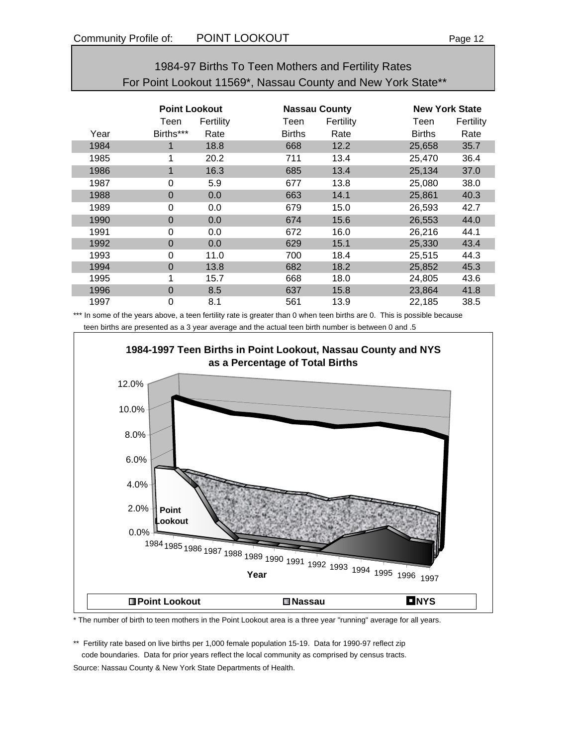| 1984-97 Births To Teen Mothers and Fertility Rates           |
|--------------------------------------------------------------|
| For Point Lookout 11569*, Nassau County and New York State** |

|      | <b>Point Lookout</b> |           |               | <b>Nassau County</b> |               | <b>New York State</b> |  |
|------|----------------------|-----------|---------------|----------------------|---------------|-----------------------|--|
|      | Teen                 | Fertility | Teen          | Fertility            | Teen          | Fertility             |  |
| Year | Births***            | Rate      | <b>Births</b> | Rate                 | <b>Births</b> | Rate                  |  |
| 1984 | 1                    | 18.8      | 668           | 12.2                 | 25,658        | 35.7                  |  |
| 1985 | 1                    | 20.2      | 711           | 13.4                 | 25,470        | 36.4                  |  |
| 1986 | 1                    | 16.3      | 685           | 13.4                 | 25,134        | 37.0                  |  |
| 1987 | 0                    | 5.9       | 677           | 13.8                 | 25,080        | 38.0                  |  |
| 1988 | 0                    | 0.0       | 663           | 14.1                 | 25,861        | 40.3                  |  |
| 1989 | 0                    | 0.0       | 679           | 15.0                 | 26,593        | 42.7                  |  |
| 1990 | $\Omega$             | 0.0       | 674           | 15.6                 | 26,553        | 44.0                  |  |
| 1991 | 0                    | 0.0       | 672           | 16.0                 | 26,216        | 44.1                  |  |
| 1992 | $\overline{0}$       | 0.0       | 629           | 15.1                 | 25,330        | 43.4                  |  |
| 1993 | 0                    | 11.0      | 700           | 18.4                 | 25,515        | 44.3                  |  |
| 1994 | 0                    | 13.8      | 682           | 18.2                 | 25,852        | 45.3                  |  |
| 1995 | 1                    | 15.7      | 668           | 18.0                 | 24,805        | 43.6                  |  |
| 1996 | 0                    | 8.5       | 637           | 15.8                 | 23,864        | 41.8                  |  |
| 1997 | 0                    | 8.1       | 561           | 13.9                 | 22,185        | 38.5                  |  |

\*\*\* In some of the years above, a teen fertility rate is greater than 0 when teen births are 0. This is possible because teen births are presented as a 3 year average and the actual teen birth number is between 0 and .5



\* The number of birth to teen mothers in the Point Lookout area is a three year "running" average for all years.

\*\* Fertility rate based on live births per 1,000 female population 15-19. Data for 1990-97 reflect zip code boundaries. Data for prior years reflect the local community as comprised by census tracts. Source: Nassau County & New York State Departments of Health.